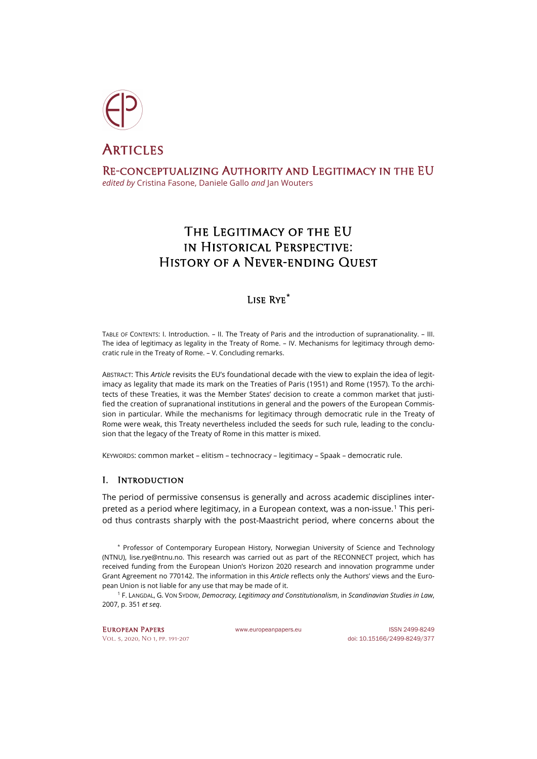

# The Legitimacy of the EU in Historical Perspective: History of a Never-ending Quest

## Lise Rye**[\\*](#page-0-0)**

TABLE OF CONTENTS: I. Introduction. – II. The Treaty of Paris and the introduction of supranationality. – III. The idea of legitimacy as legality in the Treaty of Rome. – IV. Mechanisms for legitimacy through democratic rule in the Treaty of Rome. – V. Concluding remarks.

ABSTRACT: This *Article* revisits the EU's foundational decade with the view to explain the idea of legitimacy as legality that made its mark on the Treaties of Paris (1951) and Rome (1957). To the architects of these Treaties, it was the Member States' decision to create a common market that justified the creation of supranational institutions in general and the powers of the European Commission in particular. While the mechanisms for legitimacy through democratic rule in the Treaty of Rome were weak, this Treaty nevertheless included the seeds for such rule, leading to the conclusion that the legacy of the Treaty of Rome in this matter is mixed.

KEYWORDS: common market – elitism – technocracy – legitimacy – Spaak – democratic rule.

### I. Introduction

The period of permissive consensus is generally and across academic disciplines inter-preted as a period where legitimacy, in a European context, was a non-issue.<sup>[1](#page-0-1)</sup> This period thus contrasts sharply with the post-Maastricht period, where concerns about the

<span id="page-0-0"></span>\* Professor of Contemporary European History, Norwegian University of Science and Technology (NTNU), [lise.rye@ntnu.no.](mailto:lise.rye@ntnu.no) This research was carried out as part of the RECONNECT project, which has received funding from the European Union's Horizon 2020 research and innovation programme under Grant Agreement no 770142. The information in this *Article* reflects only the Authors' views and the European Union is not liable for any use that may be made of it.

<span id="page-0-1"></span><sup>1</sup> F. LANGDAL, G. VON SYDOW, *Democracy, Legitimacy and Constitutionalism*, in *Scandinavian Studies in Law*, 2007, p. 351 *et seq*.

#### EUROPEAN PAPERS WWW.europeanpapers.eu ISSN 2499-8249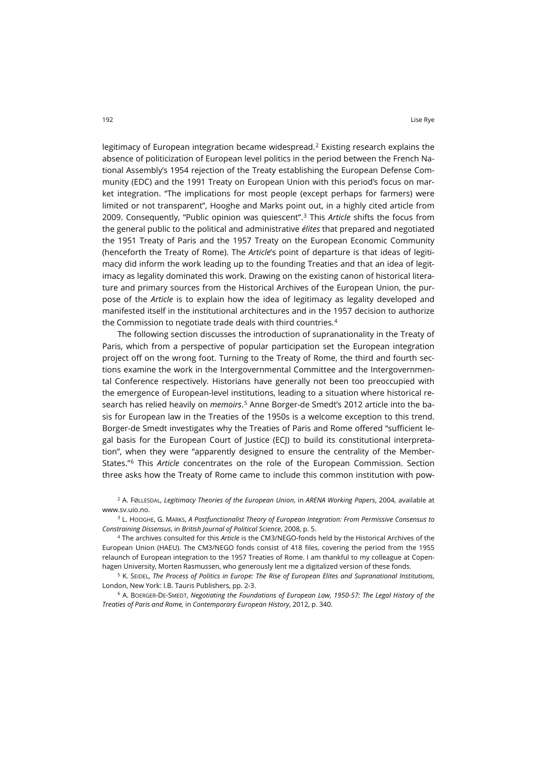legitimacy of European integration became widespread.<sup>[2](#page-1-0)</sup> Existing research explains the absence of politicization of European level politics in the period between the French National Assembly's 1954 rejection of the Treaty establishing the European Defense Community (EDC) and the 1991 Treaty on European Union with this period's focus on market integration. "The implications for most people (except perhaps for farmers) were limited or not transparent", Hooghe and Marks point out, in a highly cited article from 2009. Consequently, "Public opinion was quiescent".[3](#page-1-1) This *Article* shifts the focus from the general public to the political and administrative *élites* that prepared and negotiated the 1951 Treaty of Paris and the 1957 Treaty on the European Economic Community (henceforth the Treaty of Rome). The *Article*'s point of departure is that ideas of legitimacy did inform the work leading up to the founding Treaties and that an idea of legitimacy as legality dominated this work. Drawing on the existing canon of historical literature and primary sources from the Historical Archives of the European Union, the purpose of the *Article* is to explain how the idea of legitimacy as legality developed and manifested itself in the institutional architectures and in the 1957 decision to authorize the Commission to negotiate trade deals with third countries.<sup>[4](#page-1-2)</sup>

The following section discusses the introduction of supranationality in the Treaty of Paris, which from a perspective of popular participation set the European integration project off on the wrong foot. Turning to the Treaty of Rome, the third and fourth sections examine the work in the Intergovernmental Committee and the Intergovernmental Conference respectively. Historians have generally not been too preoccupied with the emergence of European-level institutions, leading to a situation where historical research has relied heavily on *memoirs*. [5](#page-1-3) Anne Borger-de Smedt's 2012 article into the basis for European law in the Treaties of the 1950s is a welcome exception to this trend. Borger-de Smedt investigates why the Treaties of Paris and Rome offered "sufficient legal basis for the European Court of Justice (ECJ) to build its constitutional interpretation", when they were "apparently designed to ensure the centrality of the Member-States."[6](#page-1-4) This *Article* concentrates on the role of the European Commission. Section three asks how the Treaty of Rome came to include this common institution with pow-

<span id="page-1-0"></span><sup>2</sup> A. FØLLESDAL, *Legitimacy Theories of the European Union*, in *ARENA Working Papers*, 2004, available at [www.sv.uio.no.](https://www.sv.uio.no/arena/english/research/publications/arena-working-papers/2001-2010/2004/wp04_15.pdf) 

<span id="page-1-1"></span><sup>3</sup> L. HOOGHE, G. MARKS, *A Postfunctionalist Theory of European Integration: From Permissive Consensus to Constraining Dissensus*, in *British Journal of Political Science*, 2008, p. 5.

<span id="page-1-2"></span><sup>4</sup> The archives consulted for this *Article* is the CM3/NEGO-fonds held by the Historical Archives of the European Union (HAEU). The CM3/NEGO fonds consist of 418 files, covering the period from the 1955 relaunch of European integration to the 1957 Treaties of Rome. I am thankful to my colleague at Copenhagen University, Morten Rasmussen, who generously lent me a digitalized version of these fonds.

<span id="page-1-3"></span><sup>5</sup> K. SEIDEL, *The Process of Politics in Europe: The Rise of European Elites and Supranational Institutions*, London, New York: I.B. Tauris Publishers, pp. 2-3.

<span id="page-1-4"></span><sup>6</sup> A. BOERGER-DE-SMEDT, *Negotiating the Foundations of European Law, 1950-57: The Legal History of the Treaties of Paris and Rome,* in *Contemporary European History*, 2012, p. 340.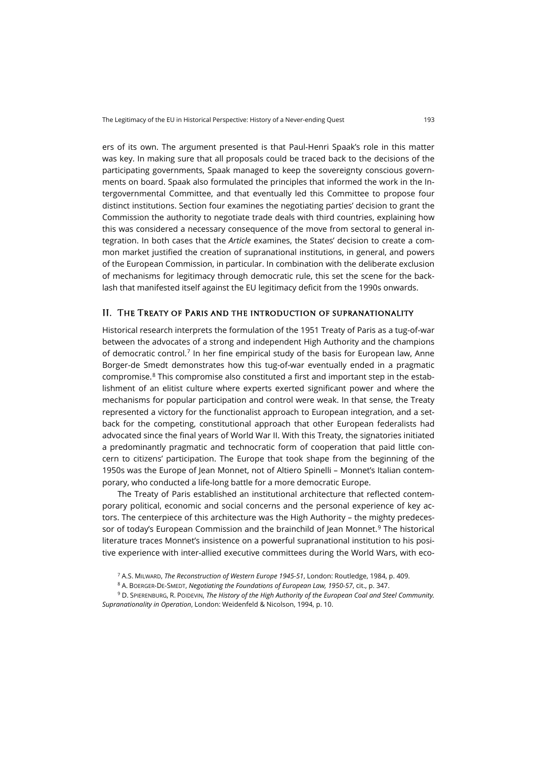ers of its own. The argument presented is that Paul-Henri Spaak's role in this matter was key. In making sure that all proposals could be traced back to the decisions of the participating governments, Spaak managed to keep the sovereignty conscious governments on board. Spaak also formulated the principles that informed the work in the Intergovernmental Committee, and that eventually led this Committee to propose four distinct institutions. Section four examines the negotiating parties' decision to grant the Commission the authority to negotiate trade deals with third countries, explaining how this was considered a necessary consequence of the move from sectoral to general integration. In both cases that the *Article* examines, the States' decision to create a common market justified the creation of supranational institutions, in general, and powers of the European Commission, in particular. In combination with the deliberate exclusion of mechanisms for legitimacy through democratic rule, this set the scene for the backlash that manifested itself against the EU legitimacy deficit from the 1990s onwards.

#### II. The Treaty of Paris and the introduction of supranationality

Historical research interprets the formulation of the 1951 Treaty of Paris as a tug-of-war between the advocates of a strong and independent High Authority and the champions of democratic control.[7](#page-2-0) In her fine empirical study of the basis for European law, Anne Borger-de Smedt demonstrates how this tug-of-war eventually ended in a pragmatic compromise.[8](#page-2-1) This compromise also constituted a first and important step in the establishment of an elitist culture where experts exerted significant power and where the mechanisms for popular participation and control were weak. In that sense, the Treaty represented a victory for the functionalist approach to European integration, and a setback for the competing, constitutional approach that other European federalists had advocated since the final years of World War II. With this Treaty, the signatories initiated a predominantly pragmatic and technocratic form of cooperation that paid little concern to citizens' participation. The Europe that took shape from the beginning of the 1950s was the Europe of Jean Monnet, not of Altiero Spinelli – Monnet's Italian contemporary, who conducted a life-long battle for a more democratic Europe.

The Treaty of Paris established an institutional architecture that reflected contemporary political, economic and social concerns and the personal experience of key actors. The centerpiece of this architecture was the High Authority – the mighty predeces-sor of today's European Commission and the brainchild of Jean Monnet.<sup>[9](#page-2-2)</sup> The historical literature traces Monnet's insistence on a powerful supranational institution to his positive experience with inter-allied executive committees during the World Wars, with eco-

<sup>7</sup> A.S. MILWARD, *The Reconstruction of Western Europe 1945-51*, London: Routledge, 1984, p. 409.

<sup>8</sup> A. BOERGER-DE-SMEDT, *Negotiating the Foundations of European Law, 1950-57*, cit., p. 347.

<span id="page-2-2"></span><span id="page-2-1"></span><span id="page-2-0"></span><sup>9</sup> D. SPIERENBURG, R. POIDEVIN, *The History of the High Authority of the European Coal and Steel Community. Supranationality in Operation*, London: Weidenfeld & Nicolson, 1994, p. 10.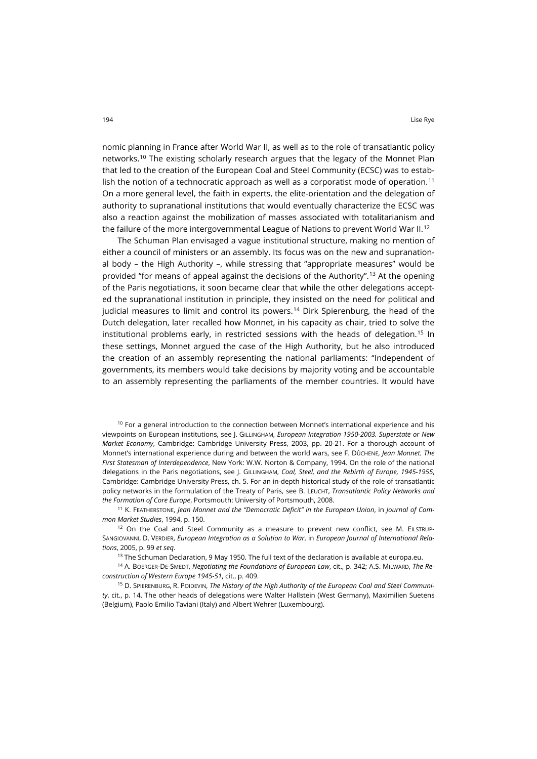nomic planning in France after World War II, as well as to the role of transatlantic policy networks[.10](#page-3-0) The existing scholarly research argues that the legacy of the Monnet Plan that led to the creation of the European Coal and Steel Community (ECSC) was to estab-lish the notion of a technocratic approach as well as a corporatist mode of operation.<sup>[11](#page-3-1)</sup> On a more general level, the faith in experts, the elite-orientation and the delegation of authority to supranational institutions that would eventually characterize the ECSC was also a reaction against the mobilization of masses associated with totalitarianism and the failure of the more intergovernmental League of Nations to prevent World War II.<sup>[12](#page-3-2)</sup>

The Schuman Plan envisaged a vague institutional structure, making no mention of either a council of ministers or an assembly. Its focus was on the new and supranational body – the High Authority –, while stressing that "appropriate measures" would be provided "for means of appeal against the decisions of the Authority".[13](#page-3-3) At the opening of the Paris negotiations, it soon became clear that while the other delegations accepted the supranational institution in principle, they insisted on the need for political and judicial measures to limit and control its powers.[14](#page-3-4) Dirk Spierenburg, the head of the Dutch delegation, later recalled how Monnet, in his capacity as chair, tried to solve the institutional problems early, in restricted sessions with the heads of delegation.[15](#page-3-5) In these settings, Monnet argued the case of the High Authority, but he also introduced the creation of an assembly representing the national parliaments: "Independent of governments, its members would take decisions by majority voting and be accountable to an assembly representing the parliaments of the member countries. It would have

<span id="page-3-0"></span> $10$  For a general introduction to the connection between Monnet's international experience and his viewpoints on European institutions, see J. GILLINGHAM, *European Integration 1950-2003. Superstate or New Market Economy*, Cambridge: Cambridge University Press, 2003, pp. 20-21. For a thorough account of Monnet's international experience during and between the world wars, see F. DÛCHENE, *Jean Monnet. The First Statesman of Interdependence*, New York: W.W. Norton & Company, 1994. On the role of the national delegations in the Paris negotiations, see J. GILLINGHAM, *Coal, Steel, and the Rebirth of Europe, 1945-1955*, Cambridge: Cambridge University Press, ch. 5. For an in-depth historical study of the role of transatlantic policy networks in the formulation of the Treaty of Paris, see B. LEUCHT, *Transatlantic Policy Networks and the Formation of Core Europe*, Portsmouth: University of Portsmouth, 2008.

<span id="page-3-1"></span><sup>11</sup> K. FEATHERSTONE, *Jean Monnet and the "Democratic Deficit" in the European Union*, in *Journal of Common Market Studies*, 1994, p. 150.

<span id="page-3-2"></span><sup>12</sup> On the Coal and Steel Community as a measure to prevent new conflict, see M. EILSTRUP-SANGIOVANNI, D. VERDIER, *European Integration as a Solution to War*, in *European Journal of International Relations*, 2005, p. 99 *et seq*.

 $13$  The Schuman Declaration, 9 May 1950. The full text of the declaration is available a[t europa.eu.](https://europa.eu/european-union/about-eu/symbols/europe-day/schuman-declaration_en)

<span id="page-3-4"></span><span id="page-3-3"></span><sup>14</sup> A. BOERGER-DE-SMEDT, *Negotiating the Foundations of European Law*, cit., p. 342; A.S. MILWARD, *The Reconstruction of Western Europe 1945-51*, cit., p. 409.

<span id="page-3-5"></span><sup>15</sup> D. SPIERENBURG, R. POIDEVIN, *The History of the High Authority of the European Coal and Steel Community*, cit., p. 14. The other heads of delegations were Walter Hallstein (West Germany), Maximilien Suetens (Belgium), Paolo Emilio Taviani (Italy) and Albert Wehrer (Luxembourg).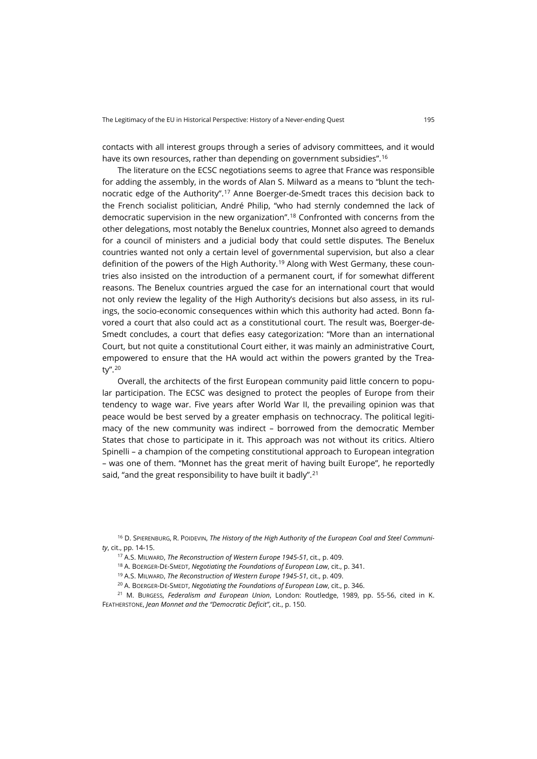contacts with all interest groups through a series of advisory committees, and it would have its own resources, rather than depending on government subsidies".<sup>[16](#page-4-0)</sup>

The literature on the ECSC negotiations seems to agree that France was responsible for adding the assembly, in the words of Alan S. Milward as a means to "blunt the technocratic edge of the Authority".[17](#page-4-1) Anne Boerger-de-Smedt traces this decision back to the French socialist politician, André Philip, "who had sternly condemned the lack of democratic supervision in the new organization".[18](#page-4-2) Confronted with concerns from the other delegations, most notably the Benelux countries, Monnet also agreed to demands for a council of ministers and a judicial body that could settle disputes. The Benelux countries wanted not only a certain level of governmental supervision, but also a clear definition of the powers of the High Authority.[19](#page-4-3) Along with West Germany, these countries also insisted on the introduction of a permanent court, if for somewhat different reasons. The Benelux countries argued the case for an international court that would not only review the legality of the High Authority's decisions but also assess, in its rulings, the socio-economic consequences within which this authority had acted. Bonn favored a court that also could act as a constitutional court. The result was, Boerger-de-Smedt concludes, a court that defies easy categorization: "More than an international Court, but not quite a constitutional Court either, it was mainly an administrative Court, empowered to ensure that the HA would act within the powers granted by the Treaty"[.20](#page-4-4)

Overall, the architects of the first European community paid little concern to popular participation. The ECSC was designed to protect the peoples of Europe from their tendency to wage war. Five years after World War II, the prevailing opinion was that peace would be best served by a greater emphasis on technocracy. The political legitimacy of the new community was indirect – borrowed from the democratic Member States that chose to participate in it. This approach was not without its critics. Altiero Spinelli – a champion of the competing constitutional approach to European integration – was one of them. "Monnet has the great merit of having built Europe", he reportedly said, "and the great responsibility to have built it badly".<sup>[21](#page-4-5)</sup>

<span id="page-4-2"></span><span id="page-4-1"></span><span id="page-4-0"></span><sup>16</sup> D. SPIERENBURG, R. POIDEVIN, *The History of the High Authority of the European Coal and Steel Community*, cit., pp. 14-15.

<sup>17</sup> A.S. MILWARD, *The Reconstruction of Western Europe 1945-51*, cit., p. 409.

<sup>18</sup> A. BOERGER-DE-SMEDT, *Negotiating the Foundations of European Law*, cit., p. 341.

<sup>19</sup> A.S. MILWARD, *The Reconstruction of Western Europe 1945-51*, cit., p. 409.

<sup>20</sup> A. BOERGER-DE-SMEDT, *Negotiating the Foundations of European Law*, cit., p. 346.

<span id="page-4-5"></span><span id="page-4-4"></span><span id="page-4-3"></span><sup>21</sup> M. BURGESS, *Federalism and European Union*, London: Routledge, 1989, pp. 55-56, cited in K. FEATHERSTONE, *Jean Monnet and the "Democratic Deficit"*, cit., p. 150.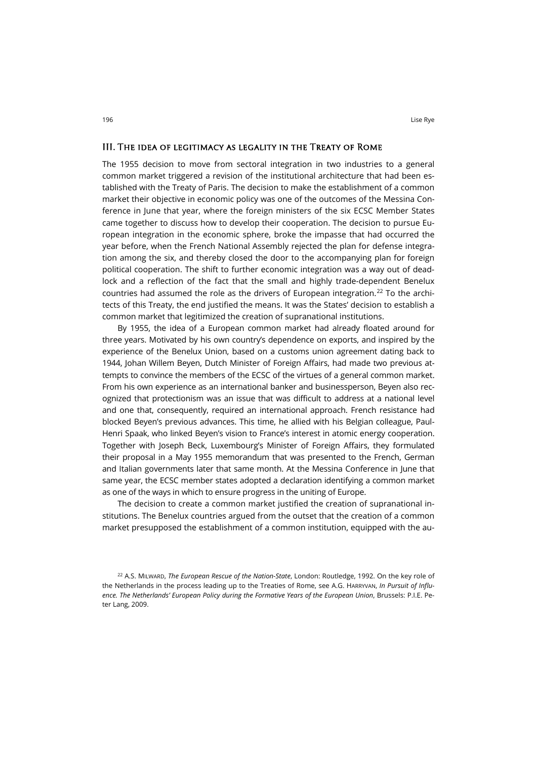#### III. The idea of legitimacy as legality in the Treaty of Rome

The 1955 decision to move from sectoral integration in two industries to a general common market triggered a revision of the institutional architecture that had been established with the Treaty of Paris. The decision to make the establishment of a common market their objective in economic policy was one of the outcomes of the Messina Conference in June that year, where the foreign ministers of the six ECSC Member States came together to discuss how to develop their cooperation. The decision to pursue European integration in the economic sphere, broke the impasse that had occurred the year before, when the French National Assembly rejected the plan for defense integration among the six, and thereby closed the door to the accompanying plan for foreign political cooperation. The shift to further economic integration was a way out of deadlock and a reflection of the fact that the small and highly trade-dependent Benelux countries had assumed the role as the drivers of European integration.<sup>[22](#page-5-0)</sup> To the architects of this Treaty, the end justified the means. It was the States' decision to establish a common market that legitimized the creation of supranational institutions.

By 1955, the idea of a European common market had already floated around for three years. Motivated by his own country's dependence on exports, and inspired by the experience of the Benelux Union, based on a customs union agreement dating back to 1944, Johan Willem Beyen, Dutch Minister of Foreign Affairs, had made two previous attempts to convince the members of the ECSC of the virtues of a general common market. From his own experience as an international banker and businessperson, Beyen also recognized that protectionism was an issue that was difficult to address at a national level and one that, consequently, required an international approach. French resistance had blocked Beyen's previous advances. This time, he allied with his Belgian colleague, Paul-Henri Spaak, who linked Beyen's vision to France's interest in atomic energy cooperation. Together with Joseph Beck, Luxembourg's Minister of Foreign Affairs, they formulated their proposal in a May 1955 memorandum that was presented to the French, German and Italian governments later that same month. At the Messina Conference in June that same year, the ECSC member states adopted a declaration identifying a common market as one of the ways in which to ensure progress in the uniting of Europe.

The decision to create a common market justified the creation of supranational institutions. The Benelux countries argued from the outset that the creation of a common market presupposed the establishment of a common institution, equipped with the au-

<span id="page-5-0"></span><sup>22</sup> A.S. MILWARD, *The European Rescue of the Nation-State*, London: Routledge, 1992. On the key role of the Netherlands in the process leading up to the Treaties of Rome, see A.G. HARRYVAN, *In Pursuit of Influence. The Netherlands' European Policy during the Formative Years of the European Union*, Brussels: P.I.E. Peter Lang, 2009.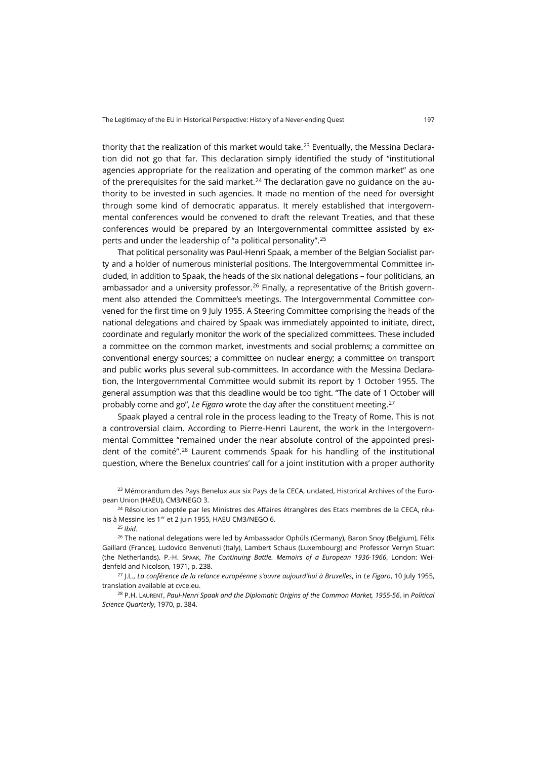thority that the realization of this market would take.<sup>[23](#page-6-0)</sup> Eventually, the Messina Declaration did not go that far. This declaration simply identified the study of "institutional agencies appropriate for the realization and operating of the common market" as one of the prerequisites for the said market.<sup>[24](#page-6-1)</sup> The declaration gave no guidance on the authority to be invested in such agencies. It made no mention of the need for oversight through some kind of democratic apparatus. It merely established that intergovernmental conferences would be convened to draft the relevant Treaties, and that these conferences would be prepared by an Intergovernmental committee assisted by experts and under the leadership of "a political personality".[25](#page-6-2)

That political personality was Paul-Henri Spaak, a member of the Belgian Socialist party and a holder of numerous ministerial positions. The Intergovernmental Committee included, in addition to Spaak, the heads of the six national delegations – four politicians, an ambassador and a university professor.<sup>[26](#page-6-3)</sup> Finally, a representative of the British government also attended the Committee's meetings. The Intergovernmental Committee convened for the first time on 9 July 1955. A Steering Committee comprising the heads of the national delegations and chaired by Spaak was immediately appointed to initiate, direct, coordinate and regularly monitor the work of the specialized committees. These included a committee on the common market, investments and social problems; a committee on conventional energy sources; a committee on nuclear energy; a committee on transport and public works plus several sub-committees. In accordance with the Messina Declaration, the Intergovernmental Committee would submit its report by 1 October 1955. The general assumption was that this deadline would be too tight. "The date of 1 October will probably come and go", *Le Figaro* wrote the day after the constituent meeting.[27](#page-6-4)

Spaak played a central role in the process leading to the Treaty of Rome. This is not a controversial claim. According to Pierre-Henri Laurent, the work in the Intergovernmental Committee "remained under the near absolute control of the appointed president of the comité".[28](#page-6-5) Laurent commends Spaak for his handling of the institutional question, where the Benelux countries' call for a joint institution with a proper authority

<span id="page-6-0"></span><sup>23</sup> Mémorandum des Pays Benelux aux six Pays de la CECA, undated, Historical Archives of the European Union (HAEU), CM3/NEGO 3.

<span id="page-6-1"></span><sup>24</sup> Résolution adoptée par les Ministres des Affaires étrangères des Etats membres de la CECA, réunis à Messine les 1<sup>er</sup> et 2 juin 1955, HAEU CM3/NEGO 6.

<sup>25</sup> *Ibid*.

<span id="page-6-3"></span><span id="page-6-2"></span><sup>26</sup> The national delegations were led by Ambassador Ophüls (Germany), Baron Snoy (Belgium), Félix Gaillard (France), Ludovico Benvenuti (Italy), Lambert Schaus (Luxembourg) and Professor Verryn Stuart (the Netherlands). P.-H. SPAAK, *The Continuing Battle. Memoirs of a European 1936-1966*, London: Weidenfeld and Nicolson, 1971, p. 238.

<span id="page-6-4"></span><sup>27</sup> J.L., *La conférence de la relance européenne s'ouvre aujourd'hui à Bruxelles*, in *Le Figaro*, 10 July 1955, translation available a[t cvce.eu.](https://www.cvce.eu/en/obj/conference_on_european_revival_opens_today_in_brussels_from_le_figaro_10_july_1955-en-d4e9b517-be4a-4d96-aed5-4e86a3e9f26c.html)

<span id="page-6-5"></span><sup>28</sup> P.H. LAURENT, *Paul-Henri Spaak and the Diplomatic Origins of the Common Market, 1955-56*, in *Political Science Quarterly*, 1970, p. 384.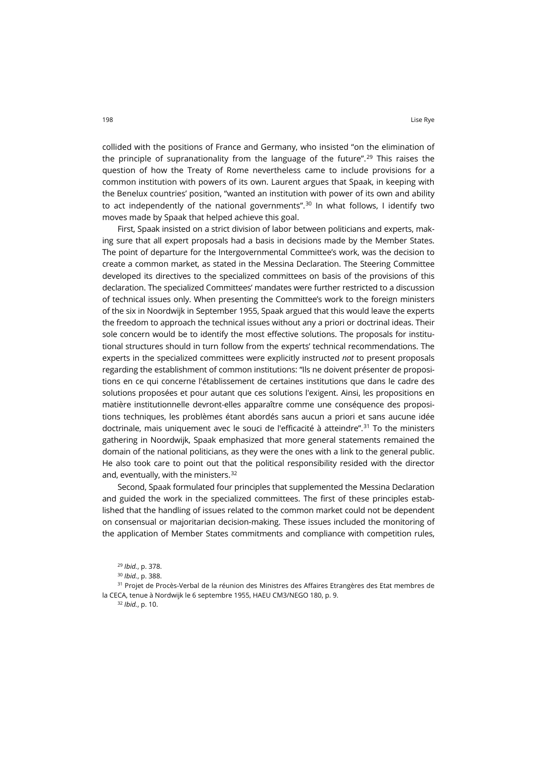collided with the positions of France and Germany, who insisted "on the elimination of the principle of supranationality from the language of the future".<sup>[29](#page-7-0)</sup> This raises the question of how the Treaty of Rome nevertheless came to include provisions for a common institution with powers of its own. Laurent argues that Spaak, in keeping with the Benelux countries' position, "wanted an institution with power of its own and ability to act independently of the national governments". $30$  In what follows, I identify two moves made by Spaak that helped achieve this goal.

First, Spaak insisted on a strict division of labor between politicians and experts, making sure that all expert proposals had a basis in decisions made by the Member States. The point of departure for the Intergovernmental Committee's work, was the decision to create a common market, as stated in the Messina Declaration. The Steering Committee developed its directives to the specialized committees on basis of the provisions of this declaration. The specialized Committees' mandates were further restricted to a discussion of technical issues only. When presenting the Committee's work to the foreign ministers of the six in Noordwijk in September 1955, Spaak argued that this would leave the experts the freedom to approach the technical issues without any a priori or doctrinal ideas. Their sole concern would be to identify the most effective solutions. The proposals for institutional structures should in turn follow from the experts' technical recommendations. The experts in the specialized committees were explicitly instructed *not* to present proposals regarding the establishment of common institutions: "Ils ne doivent présenter de propositions en ce qui concerne l'établissement de certaines institutions que dans le cadre des solutions proposées et pour autant que ces solutions l'exigent. Ainsi, les propositions en matière institutionnelle devront-elles apparaître comme une conséquence des propositions techniques, les problèmes étant abordés sans aucun a priori et sans aucune idée doctrinale, mais uniquement avec le souci de l'efficacité à atteindre".[31](#page-7-2) To the ministers gathering in Noordwijk, Spaak emphasized that more general statements remained the domain of the national politicians, as they were the ones with a link to the general public. He also took care to point out that the political responsibility resided with the director and, eventually, with the ministers.<sup>32</sup>

Second, Spaak formulated four principles that supplemented the Messina Declaration and guided the work in the specialized committees. The first of these principles established that the handling of issues related to the common market could not be dependent on consensual or majoritarian decision-making. These issues included the monitoring of the application of Member States commitments and compliance with competition rules,

<sup>30</sup> *Ibid.*, p. 388.

<span id="page-7-3"></span><span id="page-7-2"></span><span id="page-7-1"></span><span id="page-7-0"></span><sup>31</sup> Projet de Procès-Verbal de la réunion des Ministres des Affaires Etrangères des Etat membres de la CECA, tenue à Nordwijk le 6 septembre 1955, HAEU CM3/NEGO 180, p. 9.

<sup>32</sup> *Ibid.*, p. 10.

<sup>29</sup> *Ibid.*, p. 378.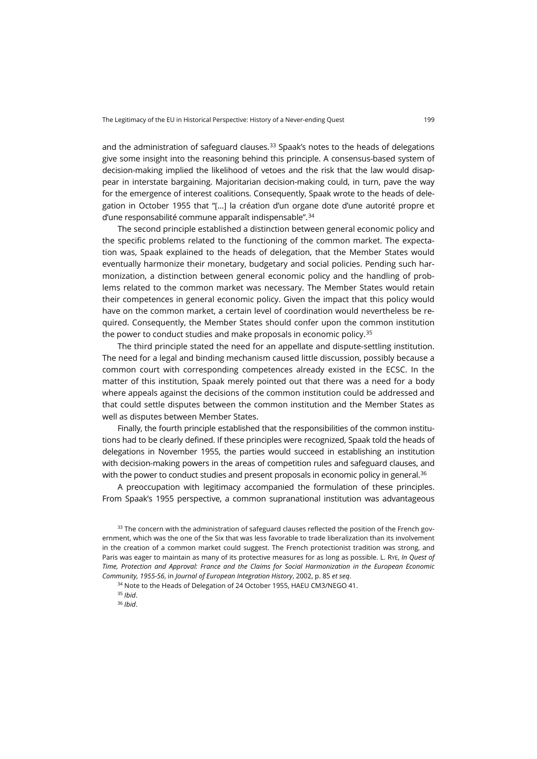and the administration of safeguard clauses. $33$  Spaak's notes to the heads of delegations give some insight into the reasoning behind this principle. A consensus-based system of decision-making implied the likelihood of vetoes and the risk that the law would disappear in interstate bargaining. Majoritarian decision-making could, in turn, pave the way for the emergence of interest coalitions. Consequently, Spaak wrote to the heads of delegation in October 1955 that "[…] la création d'un organe dote d'une autorité propre et d'une responsabilité commune apparaît indispensable".[34](#page-8-1)

The second principle established a distinction between general economic policy and the specific problems related to the functioning of the common market. The expectation was, Spaak explained to the heads of delegation, that the Member States would eventually harmonize their monetary, budgetary and social policies. Pending such harmonization, a distinction between general economic policy and the handling of problems related to the common market was necessary. The Member States would retain their competences in general economic policy. Given the impact that this policy would have on the common market, a certain level of coordination would nevertheless be required. Consequently, the Member States should confer upon the common institution the power to conduct studies and make proposals in economic policy.<sup>[35](#page-8-2)</sup>

The third principle stated the need for an appellate and dispute-settling institution. The need for a legal and binding mechanism caused little discussion, possibly because a common court with corresponding competences already existed in the ECSC. In the matter of this institution, Spaak merely pointed out that there was a need for a body where appeals against the decisions of the common institution could be addressed and that could settle disputes between the common institution and the Member States as well as disputes between Member States.

Finally, the fourth principle established that the responsibilities of the common institutions had to be clearly defined. If these principles were recognized, Spaak told the heads of delegations in November 1955, the parties would succeed in establishing an institution with decision-making powers in the areas of competition rules and safeguard clauses, and with the power to conduct studies and present proposals in economic policy in general.<sup>[36](#page-8-3)</sup>

A preoccupation with legitimacy accompanied the formulation of these principles. From Spaak's 1955 perspective, a common supranational institution was advantageous

<span id="page-8-1"></span><span id="page-8-0"></span><sup>33</sup> The concern with the administration of safeguard clauses reflected the position of the French government, which was the one of the Six that was less favorable to trade liberalization than its involvement in the creation of a common market could suggest. The French protectionist tradition was strong, and Paris was eager to maintain as many of its protective measures for as long as possible. L. RYE, *In Quest of Time, Protection and Approval: France and the Claims for Social Harmonization in the European Economic Community, 1955-56*, in *Journal of European Integration History*, 2002, p. 85 *et seq*.

<sup>34</sup> Note to the Heads of Delegation of 24 October 1955, HAEU CM3/NEGO 41.

<span id="page-8-2"></span><sup>35</sup> *Ibid*.

<span id="page-8-3"></span><sup>36</sup> *Ibid*.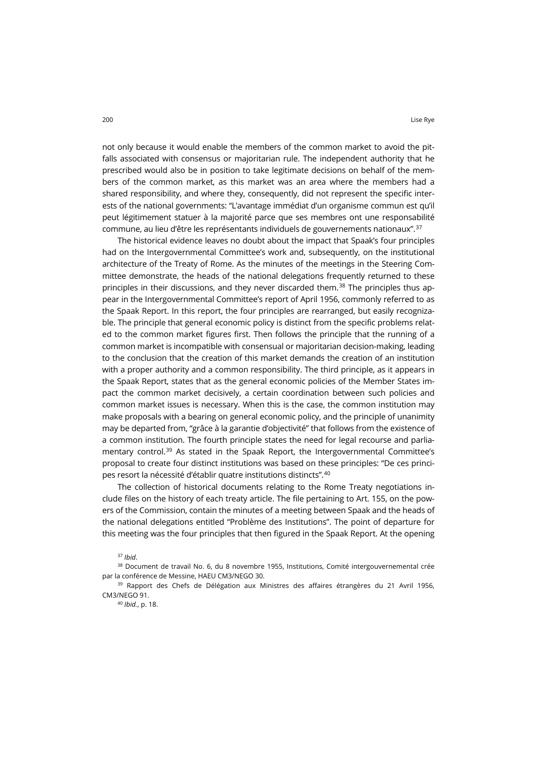not only because it would enable the members of the common market to avoid the pitfalls associated with consensus or majoritarian rule. The independent authority that he prescribed would also be in position to take legitimate decisions on behalf of the members of the common market, as this market was an area where the members had a shared responsibility, and where they, consequently, did not represent the specific interests of the national governments: "L'avantage immédiat d'un organisme commun est qu'il peut légitimement statuer à la majorité parce que ses membres ont une responsabilité commune, au lieu d'être les représentants individuels de gouvernements nationaux".[37](#page-9-0)

The historical evidence leaves no doubt about the impact that Spaak's four principles had on the Intergovernmental Committee's work and, subsequently, on the institutional architecture of the Treaty of Rome. As the minutes of the meetings in the Steering Committee demonstrate, the heads of the national delegations frequently returned to these principles in their discussions, and they never discarded them.<sup>[38](#page-9-1)</sup> The principles thus appear in the Intergovernmental Committee's report of April 1956, commonly referred to as the Spaak Report. In this report, the four principles are rearranged, but easily recognizable. The principle that general economic policy is distinct from the specific problems related to the common market figures first. Then follows the principle that the running of a common market is incompatible with consensual or majoritarian decision-making, leading to the conclusion that the creation of this market demands the creation of an institution with a proper authority and a common responsibility. The third principle, as it appears in the Spaak Report, states that as the general economic policies of the Member States impact the common market decisively, a certain coordination between such policies and common market issues is necessary. When this is the case, the common institution may make proposals with a bearing on general economic policy, and the principle of unanimity may be departed from, "grâce à la garantie d'objectivité" that follows from the existence of a common institution. The fourth principle states the need for legal recourse and parlia-mentary control.<sup>[39](#page-9-2)</sup> As stated in the Spaak Report, the Intergovernmental Committee's proposal to create four distinct institutions was based on these principles: "De ces principes resort la nécessité d'établir quatre institutions distincts".[40](#page-9-3)

The collection of historical documents relating to the Rome Treaty negotiations include files on the history of each treaty article. The file pertaining to Art. 155, on the powers of the Commission, contain the minutes of a meeting between Spaak and the heads of the national delegations entitled "Problème des Institutions". The point of departure for this meeting was the four principles that then figured in the Spaak Report. At the opening

<sup>37</sup> *Ibid*.

<span id="page-9-1"></span><span id="page-9-0"></span><sup>&</sup>lt;sup>38</sup> Document de travail No. 6, du 8 novembre 1955, Institutions, Comité intergouvernemental crée par la conférence de Messine, HAEU CM3/NEGO 30.

<span id="page-9-3"></span><span id="page-9-2"></span><sup>&</sup>lt;sup>39</sup> Rapport des Chefs de Délégation aux Ministres des affaires étrangères du 21 Avril 1956, CM3/NEGO 91.

<sup>40</sup> *Ibid.*, p. 18.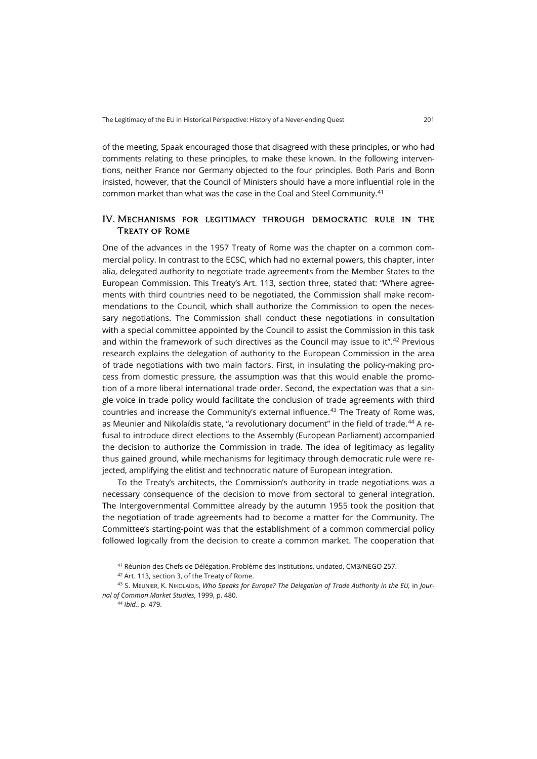of the meeting, Spaak encouraged those that disagreed with these principles, or who had comments relating to these principles, to make these known. In the following interventions, neither France nor Germany objected to the four principles. Both Paris and Bonn insisted, however, that the Council of Ministers should have a more influential role in the common market than what was the case in the Coal and Steel Community.[41](#page-10-0)

#### IV. Mechanisms for legitimacy through democratic rule in the Treaty of Rome

One of the advances in the 1957 Treaty of Rome was the chapter on a common commercial policy. In contrast to the ECSC, which had no external powers, this chapter, inter alia, delegated authority to negotiate trade agreements from the Member States to the European Commission. This Treaty's Art. 113, section three, stated that: "Where agreements with third countries need to be negotiated, the Commission shall make recommendations to the Council, which shall authorize the Commission to open the necessary negotiations. The Commission shall conduct these negotiations in consultation with a special committee appointed by the Council to assist the Commission in this task and within the framework of such directives as the Council may issue to it".[42](#page-10-1) Previous research explains the delegation of authority to the European Commission in the area of trade negotiations with two main factors. First, in insulating the policy-making process from domestic pressure, the assumption was that this would enable the promotion of a more liberal international trade order. Second, the expectation was that a single voice in trade policy would facilitate the conclusion of trade agreements with third countries and increase the Community's external influence.<sup>[43](#page-10-2)</sup> The Treaty of Rome was, as Meunier and Nikolaïdis state, "a revolutionary document" in the field of trade.[44](#page-10-3) A refusal to introduce direct elections to the Assembly (European Parliament) accompanied the decision to authorize the Commission in trade. The idea of legitimacy as legality thus gained ground, while mechanisms for legitimacy through democratic rule were rejected, amplifying the elitist and technocratic nature of European integration.

To the Treaty's architects, the Commission's authority in trade negotiations was a necessary consequence of the decision to move from sectoral to general integration. The Intergovernmental Committee already by the autumn 1955 took the position that the negotiation of trade agreements had to become a matter for the Community. The Committee's starting-point was that the establishment of a common commercial policy followed logically from the decision to create a common market. The cooperation that

<sup>41</sup> Réunion des Chefs de Délégation, Problème des Institutions, undated, CM3/NEGO 257.

<sup>42</sup> Art. 113, section 3, of the Treaty of Rome.

<span id="page-10-3"></span><span id="page-10-2"></span><span id="page-10-1"></span><span id="page-10-0"></span><sup>43</sup> S. MEUNIER, K. NIKOLAÏDIS, *Who Speaks for Europe? The Delegation of Trade Authority in the EU,* in *Journal of Common Market Studies*, 1999, p. 480.

<sup>44</sup> *Ibid.*, p. 479.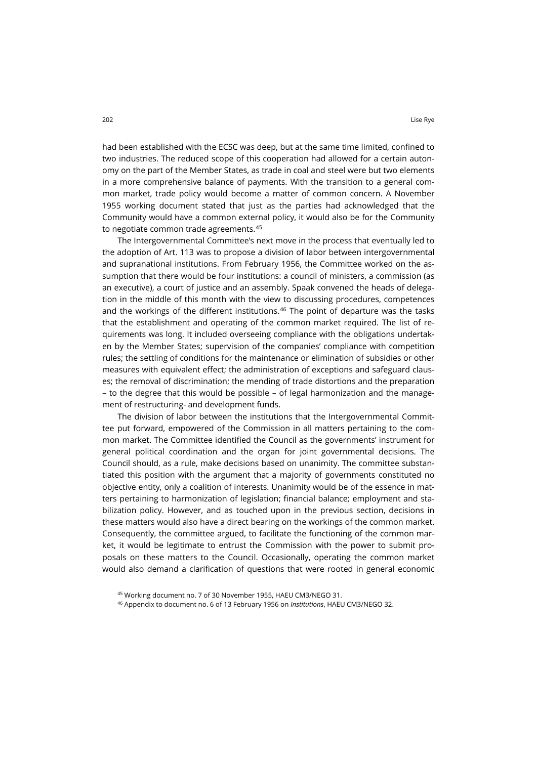had been established with the ECSC was deep, but at the same time limited, confined to two industries. The reduced scope of this cooperation had allowed for a certain autonomy on the part of the Member States, as trade in coal and steel were but two elements in a more comprehensive balance of payments. With the transition to a general common market, trade policy would become a matter of common concern. A November 1955 working document stated that just as the parties had acknowledged that the Community would have a common external policy, it would also be for the Community to negotiate common trade agreements.<sup>[45](#page-11-0)</sup>

The Intergovernmental Committee's next move in the process that eventually led to the adoption of Art. 113 was to propose a division of labor between intergovernmental and supranational institutions. From February 1956, the Committee worked on the assumption that there would be four institutions: a council of ministers, a commission (as an executive), a court of justice and an assembly. Spaak convened the heads of delegation in the middle of this month with the view to discussing procedures, competences and the workings of the different institutions. $46$  The point of departure was the tasks that the establishment and operating of the common market required. The list of requirements was long. It included overseeing compliance with the obligations undertaken by the Member States; supervision of the companies' compliance with competition rules; the settling of conditions for the maintenance or elimination of subsidies or other measures with equivalent effect; the administration of exceptions and safeguard clauses; the removal of discrimination; the mending of trade distortions and the preparation – to the degree that this would be possible – of legal harmonization and the management of restructuring- and development funds.

The division of labor between the institutions that the Intergovernmental Committee put forward, empowered of the Commission in all matters pertaining to the common market. The Committee identified the Council as the governments' instrument for general political coordination and the organ for joint governmental decisions. The Council should, as a rule, make decisions based on unanimity. The committee substantiated this position with the argument that a majority of governments constituted no objective entity, only a coalition of interests. Unanimity would be of the essence in matters pertaining to harmonization of legislation; financial balance; employment and stabilization policy. However, and as touched upon in the previous section, decisions in these matters would also have a direct bearing on the workings of the common market. Consequently, the committee argued, to facilitate the functioning of the common market, it would be legitimate to entrust the Commission with the power to submit proposals on these matters to the Council. Occasionally, operating the common market would also demand a clarification of questions that were rooted in general economic

<span id="page-11-0"></span><sup>45</sup> Working document no. 7 of 30 November 1955, HAEU CM3/NEGO 31.

<span id="page-11-1"></span><sup>46</sup> Appendix to document no. 6 of 13 February 1956 on *Institutions*, HAEU CM3/NEGO 32.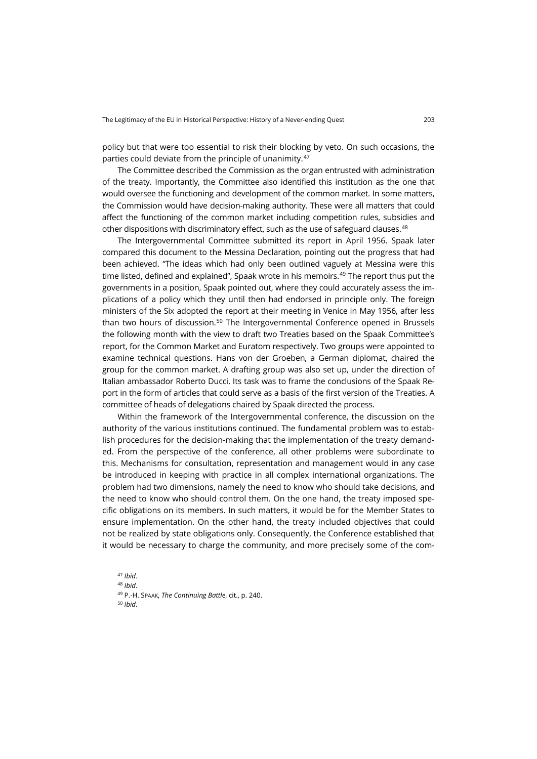policy but that were too essential to risk their blocking by veto. On such occasions, the parties could deviate from the principle of unanimity.[47](#page-12-0)

The Committee described the Commission as the organ entrusted with administration of the treaty. Importantly, the Committee also identified this institution as the one that would oversee the functioning and development of the common market. In some matters, the Commission would have decision-making authority. These were all matters that could affect the functioning of the common market including competition rules, subsidies and other dispositions with discriminatory effect, such as the use of safeguard clauses.<sup>[48](#page-12-1)</sup>

The Intergovernmental Committee submitted its report in April 1956. Spaak later compared this document to the Messina Declaration, pointing out the progress that had been achieved. "The ideas which had only been outlined vaguely at Messina were this time listed, defined and explained", Spaak wrote in his memoirs.<sup>[49](#page-12-2)</sup> The report thus put the governments in a position, Spaak pointed out, where they could accurately assess the implications of a policy which they until then had endorsed in principle only. The foreign ministers of the Six adopted the report at their meeting in Venice in May 1956, after less than two hours of discussion.<sup>[50](#page-12-3)</sup> The Intergovernmental Conference opened in Brussels the following month with the view to draft two Treaties based on the Spaak Committee's report, for the Common Market and Euratom respectively. Two groups were appointed to examine technical questions. Hans von der Groeben, a German diplomat, chaired the group for the common market. A drafting group was also set up, under the direction of Italian ambassador Roberto Ducci. Its task was to frame the conclusions of the Spaak Report in the form of articles that could serve as a basis of the first version of the Treaties. A committee of heads of delegations chaired by Spaak directed the process.

Within the framework of the Intergovernmental conference, the discussion on the authority of the various institutions continued. The fundamental problem was to establish procedures for the decision-making that the implementation of the treaty demanded. From the perspective of the conference, all other problems were subordinate to this. Mechanisms for consultation, representation and management would in any case be introduced in keeping with practice in all complex international organizations. The problem had two dimensions, namely the need to know who should take decisions, and the need to know who should control them. On the one hand, the treaty imposed specific obligations on its members. In such matters, it would be for the Member States to ensure implementation. On the other hand, the treaty included objectives that could not be realized by state obligations only. Consequently, the Conference established that it would be necessary to charge the community, and more precisely some of the com-

<span id="page-12-3"></span><span id="page-12-2"></span><span id="page-12-1"></span><span id="page-12-0"></span><sup>47</sup> *Ibid*. <sup>48</sup> *Ibid*. <sup>49</sup> P.-H. SPAAK, *The Continuing Battle*, cit., p. 240. <sup>50</sup> *Ibid*.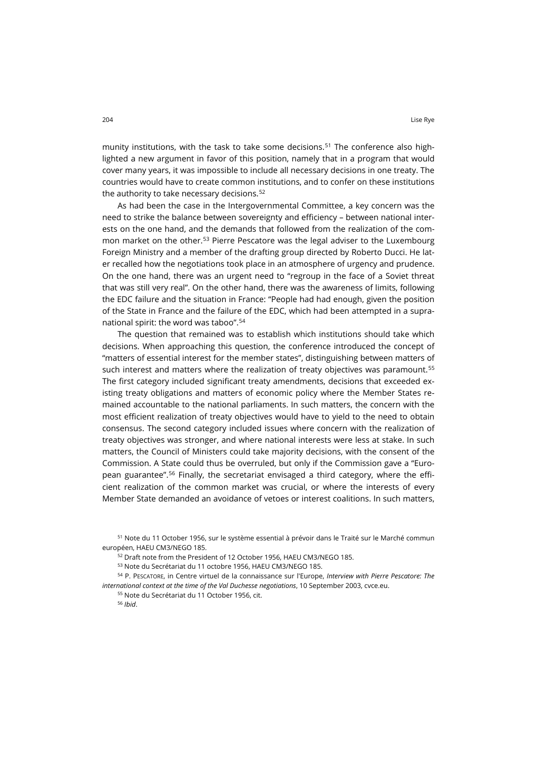munity institutions, with the task to take some decisions.<sup>[51](#page-13-0)</sup> The conference also highlighted a new argument in favor of this position, namely that in a program that would cover many years, it was impossible to include all necessary decisions in one treaty. The countries would have to create common institutions, and to confer on these institutions the authority to take necessary decisions.<sup>[52](#page-13-1)</sup>

As had been the case in the Intergovernmental Committee, a key concern was the need to strike the balance between sovereignty and efficiency – between national interests on the one hand, and the demands that followed from the realization of the com-mon market on the other.<sup>[53](#page-13-2)</sup> Pierre Pescatore was the legal adviser to the Luxembourg Foreign Ministry and a member of the drafting group directed by Roberto Ducci. He later recalled how the negotiations took place in an atmosphere of urgency and prudence. On the one hand, there was an urgent need to "regroup in the face of a Soviet threat that was still very real". On the other hand, there was the awareness of limits, following the EDC failure and the situation in France: "People had had enough, given the position of the State in France and the failure of the EDC, which had been attempted in a supranational spirit: the word was taboo".[54](#page-13-3)

The question that remained was to establish which institutions should take which decisions. When approaching this question, the conference introduced the concept of "matters of essential interest for the member states", distinguishing between matters of such interest and matters where the realization of treaty objectives was paramount.<sup>[55](#page-13-4)</sup> The first category included significant treaty amendments, decisions that exceeded existing treaty obligations and matters of economic policy where the Member States remained accountable to the national parliaments. In such matters, the concern with the most efficient realization of treaty objectives would have to yield to the need to obtain consensus. The second category included issues where concern with the realization of treaty objectives was stronger, and where national interests were less at stake. In such matters, the Council of Ministers could take majority decisions, with the consent of the Commission. A State could thus be overruled, but only if the Commission gave a "European guarantee".[56](#page-13-5) Finally, the secretariat envisaged a third category, where the efficient realization of the common market was crucial, or where the interests of every Member State demanded an avoidance of vetoes or interest coalitions. In such matters,

<span id="page-13-1"></span><span id="page-13-0"></span><sup>51</sup> Note du 11 October 1956, sur le système essential à prévoir dans le Traité sur le Marché commun européen, HAEU CM3/NEGO 185.

<sup>52</sup> Draft note from the President of 12 October 1956, HAEU CM3/NEGO 185.

<sup>53</sup> Note du Secrétariat du 11 octobre 1956, HAEU CM3/NEGO 185.

<span id="page-13-5"></span><span id="page-13-4"></span><span id="page-13-3"></span><span id="page-13-2"></span><sup>54</sup> P. PESCATORE, in Centre virtuel de la connaissance sur l'Europe, *Interview with Pierre Pescatore: The international context at the time of the Val Duchesse negotiations*, 10 September 2003[, cvce.eu.](https://www.cvce.eu/en/obj/interview_with_pierre_pescatore_the_international_context_at_the_time_of_the_val_duchesse_negotiations_luxembourg_10_september_2003-en-e00c69e1-8440-4926-b8bd-ae7d7496a819.html) 

<sup>55</sup> Note du Secrétariat du 11 October 1956, cit.

<sup>56</sup> *Ibid*.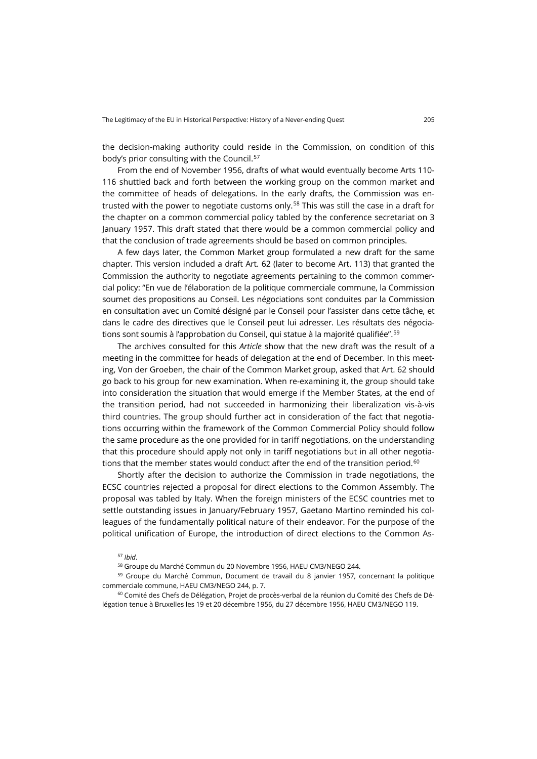the decision-making authority could reside in the Commission, on condition of this body's prior consulting with the Council.<sup>[57](#page-14-0)</sup>

From the end of November 1956, drafts of what would eventually become Arts 110- 116 shuttled back and forth between the working group on the common market and the committee of heads of delegations. In the early drafts, the Commission was en-trusted with the power to negotiate customs only.<sup>[58](#page-14-1)</sup> This was still the case in a draft for the chapter on a common commercial policy tabled by the conference secretariat on 3 January 1957. This draft stated that there would be a common commercial policy and that the conclusion of trade agreements should be based on common principles.

A few days later, the Common Market group formulated a new draft for the same chapter. This version included a draft Art. 62 (later to become Art. 113) that granted the Commission the authority to negotiate agreements pertaining to the common commercial policy: "En vue de l'élaboration de la politique commerciale commune, la Commission soumet des propositions au Conseil. Les négociations sont conduites par la Commission en consultation avec un Comité désigné par le Conseil pour l'assister dans cette tâche, et dans le cadre des directives que le Conseil peut lui adresser. Les résultats des négociations sont soumis à l'approbation du Conseil, qui statue à la majorité qualifiée". [59](#page-14-2)

The archives consulted for this *Article* show that the new draft was the result of a meeting in the committee for heads of delegation at the end of December. In this meeting, Von der Groeben, the chair of the Common Market group, asked that Art. 62 should go back to his group for new examination. When re-examining it, the group should take into consideration the situation that would emerge if the Member States, at the end of the transition period, had not succeeded in harmonizing their liberalization vis-à-vis third countries. The group should further act in consideration of the fact that negotiations occurring within the framework of the Common Commercial Policy should follow the same procedure as the one provided for in tariff negotiations, on the understanding that this procedure should apply not only in tariff negotiations but in all other negotiations that the member states would conduct after the end of the transition period. $60$ 

Shortly after the decision to authorize the Commission in trade negotiations, the ECSC countries rejected a proposal for direct elections to the Common Assembly. The proposal was tabled by Italy. When the foreign ministers of the ECSC countries met to settle outstanding issues in January/February 1957, Gaetano Martino reminded his colleagues of the fundamentally political nature of their endeavor. For the purpose of the political unification of Europe, the introduction of direct elections to the Common As-

<sup>57</sup> *Ibid*.

<sup>58</sup> Groupe du Marché Commun du 20 Novembre 1956, HAEU CM3/NEGO 244.

<span id="page-14-2"></span><span id="page-14-1"></span><span id="page-14-0"></span><sup>59</sup> Groupe du Marché Commun, Document de travail du 8 janvier 1957, concernant la politique commerciale commune, HAEU CM3/NEGO 244, p. 7.

<span id="page-14-3"></span><sup>60</sup> Comité des Chefs de Délégation, Projet de procès-verbal de la réunion du Comité des Chefs de Délégation tenue à Bruxelles les 19 et 20 décembre 1956, du 27 décembre 1956, HAEU CM3/NEGO 119.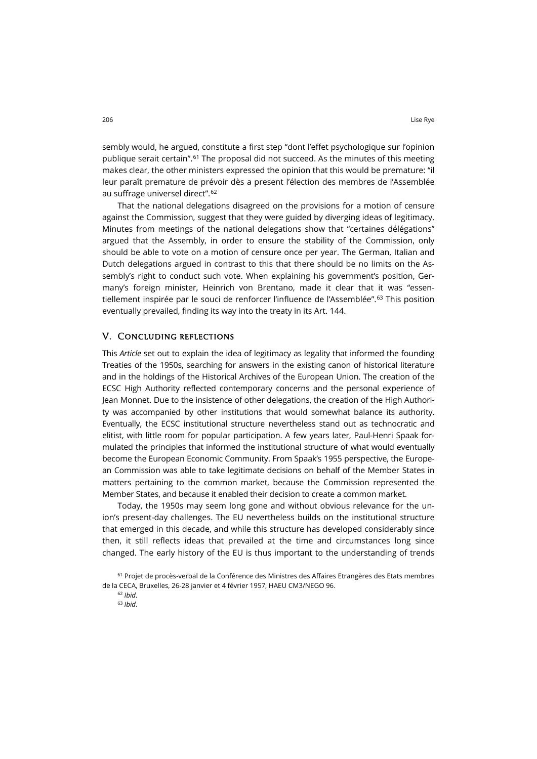sembly would, he argued, constitute a first step "dont l'effet psychologique sur l'opinion publique serait certain".[61](#page-15-0) The proposal did not succeed. As the minutes of this meeting makes clear, the other ministers expressed the opinion that this would be premature: "il leur paraît premature de prévoir dès a present l'élection des membres de l'Assemblée au suffrage universel direct".[62](#page-15-1)

That the national delegations disagreed on the provisions for a motion of censure against the Commission, suggest that they were guided by diverging ideas of legitimacy. Minutes from meetings of the national delegations show that "certaines délégations" argued that the Assembly, in order to ensure the stability of the Commission, only should be able to vote on a motion of censure once per year. The German, Italian and Dutch delegations argued in contrast to this that there should be no limits on the Assembly's right to conduct such vote. When explaining his government's position, Germany's foreign minister, Heinrich von Brentano, made it clear that it was "essen-tiellement inspirée par le souci de renforcer l'influence de l'Assemblée".<sup>[63](#page-15-2)</sup> This position eventually prevailed, finding its way into the treaty in its Art. 144.

#### V. Concluding reflections

This *Article* set out to explain the idea of legitimacy as legality that informed the founding Treaties of the 1950s, searching for answers in the existing canon of historical literature and in the holdings of the Historical Archives of the European Union. The creation of the ECSC High Authority reflected contemporary concerns and the personal experience of Jean Monnet. Due to the insistence of other delegations, the creation of the High Authority was accompanied by other institutions that would somewhat balance its authority. Eventually, the ECSC institutional structure nevertheless stand out as technocratic and elitist, with little room for popular participation. A few years later, Paul-Henri Spaak formulated the principles that informed the institutional structure of what would eventually become the European Economic Community. From Spaak's 1955 perspective, the European Commission was able to take legitimate decisions on behalf of the Member States in matters pertaining to the common market, because the Commission represented the Member States, and because it enabled their decision to create a common market.

Today, the 1950s may seem long gone and without obvious relevance for the union's present-day challenges. The EU nevertheless builds on the institutional structure that emerged in this decade, and while this structure has developed considerably since then, it still reflects ideas that prevailed at the time and circumstances long since changed. The early history of the EU is thus important to the understanding of trends

<span id="page-15-2"></span><span id="page-15-1"></span><span id="page-15-0"></span><sup>61</sup> Projet de procès-verbal de la Conférence des Ministres des Affaires Etrangères des Etats membres de la CECA, Bruxelles, 26-28 janvier et 4 février 1957, HAEU CM3/NEGO 96.

<sup>62</sup> *Ibid*.

<sup>63</sup> *Ibid*.